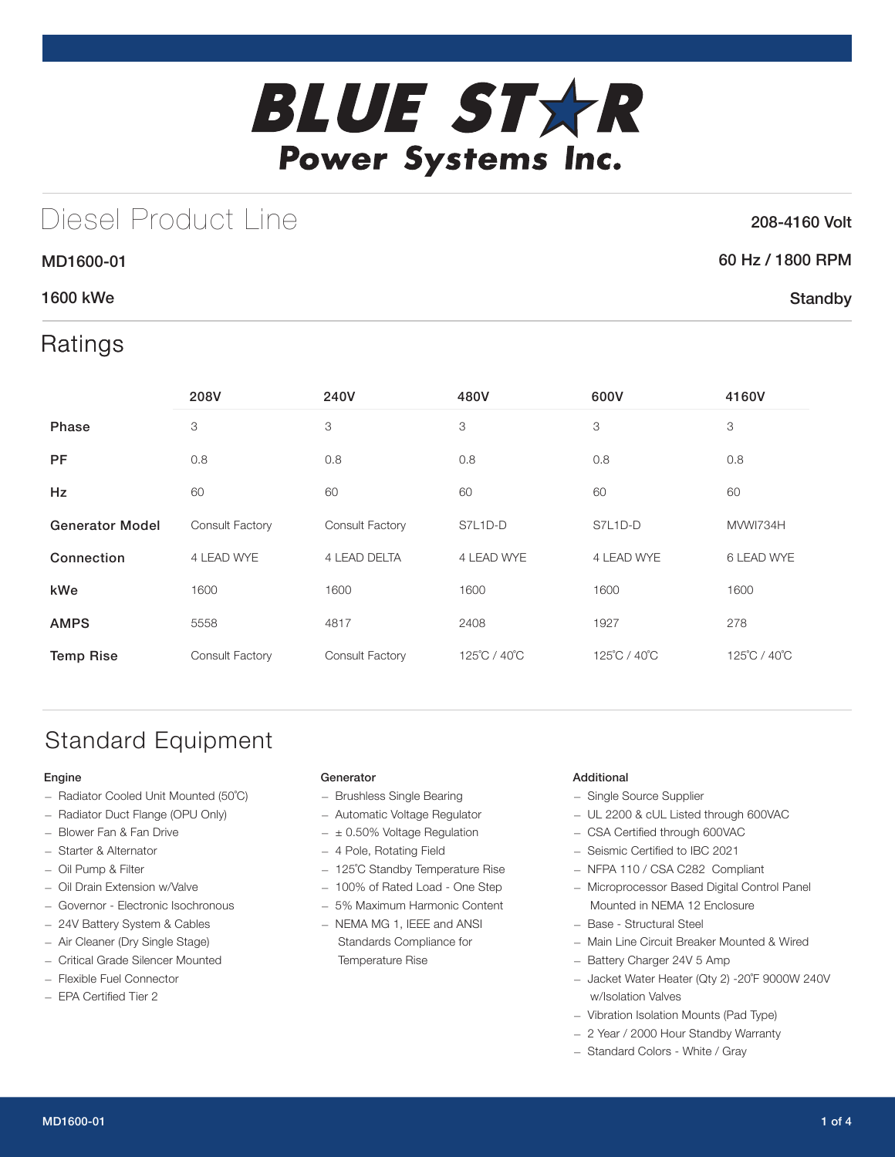

# Diesel Product Line

### 208-4160 Volt

**Standby** 

### 60 Hz / 1800 RPM

### 1600 kWe

MD1600-01

## Ratings

|                        | 208V                   | 240V            | 480V         | 600V         | 4160V        |
|------------------------|------------------------|-----------------|--------------|--------------|--------------|
| <b>Phase</b>           | 3                      | 3               | 3            | 3            | 3            |
| <b>PF</b>              | 0.8                    | 0.8             | 0.8          | 0.8          | 0.8          |
| <b>Hz</b>              | 60                     | 60              | 60           | 60           | 60           |
| <b>Generator Model</b> | <b>Consult Factory</b> | Consult Factory | S7L1D-D      | S7L1D-D      | MVWI734H     |
| Connection             | 4 LEAD WYE             | 4 LEAD DELTA    | 4 LEAD WYE   | 4 LEAD WYE   | 6 LEAD WYE   |
| kWe                    | 1600                   | 1600            | 1600         | 1600         | 1600         |
| <b>AMPS</b>            | 5558                   | 4817            | 2408         | 1927         | 278          |
| <b>Temp Rise</b>       | Consult Factory        | Consult Factory | 125°C / 40°C | 125°C / 40°C | 125°C / 40°C |

# Standard Equipment

#### Engine

- Radiator Cooled Unit Mounted (50˚C)
- Radiator Duct Flange (OPU Only)
- Blower Fan & Fan Drive
- Starter & Alternator
- Oil Pump & Filter
- Oil Drain Extension w/Valve
- Governor Electronic Isochronous
- 24V Battery System & Cables
- Air Cleaner (Dry Single Stage)
- Critical Grade Silencer Mounted
- Flexible Fuel Connector
- EPA Certified Tier 2

#### Generator

- Brushless Single Bearing
- Automatic Voltage Regulator
- $\pm$  0.50% Voltage Regulation
- 4 Pole, Rotating Field
- 125˚C Standby Temperature Rise
- 100% of Rated Load One Step
- 5% Maximum Harmonic Content
- NEMA MG 1, IEEE and ANSI Standards Compliance for Temperature Rise

#### Additional

- Single Source Supplier
- UL 2200 & cUL Listed through 600VAC
- CSA Certified through 600VAC
- Seismic Certified to IBC 2021
- NFPA 110 / CSA C282 Compliant
- Microprocessor Based Digital Control Panel Mounted in NEMA 12 Enclosure
- Base Structural Steel
- Main Line Circuit Breaker Mounted & Wired
- Battery Charger 24V 5 Amp
- Jacket Water Heater (Qty 2) -20˚F 9000W 240V w/Isolation Valves
- Vibration Isolation Mounts (Pad Type)
- 2 Year / 2000 Hour Standby Warranty
- Standard Colors White / Gray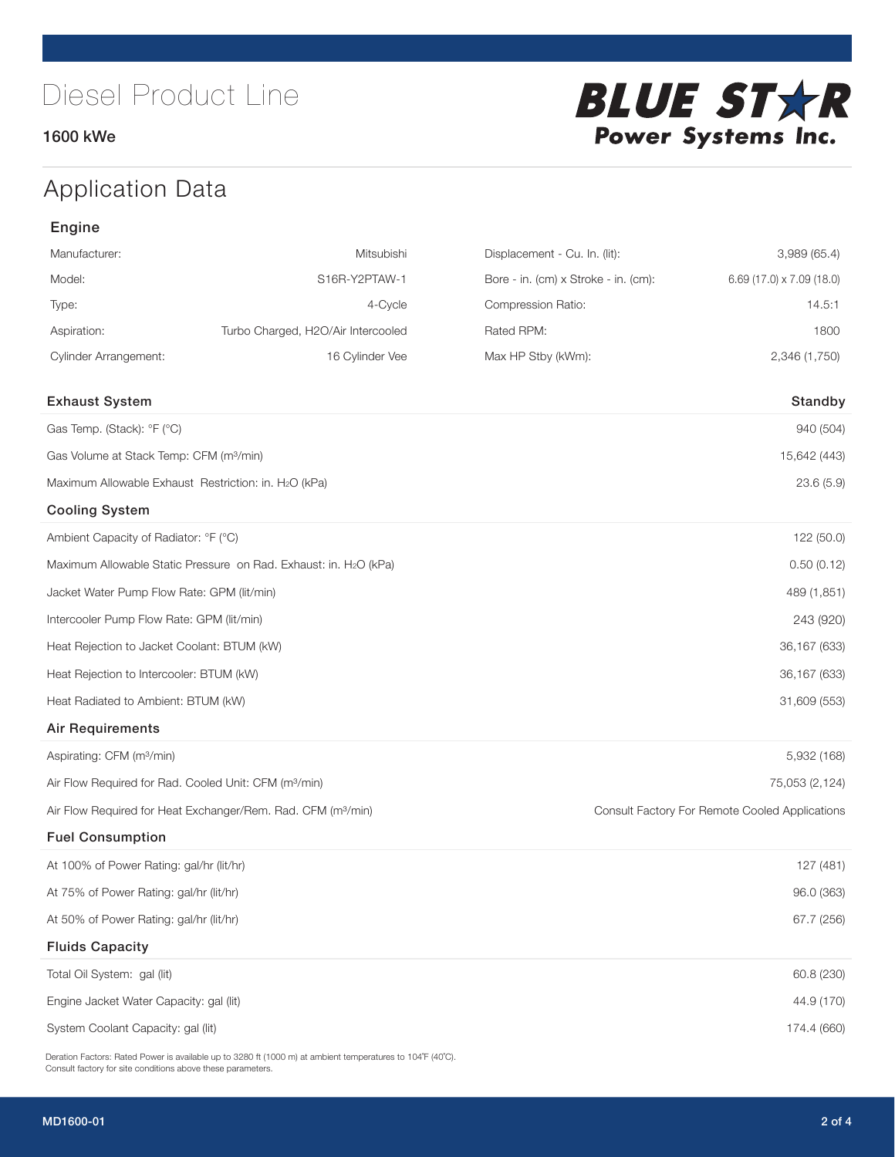### 1600 kWe



# Application Data

### Engine

| Manufacturer:                                                     | Mitsubishi                                                               | Displacement - Cu. In. (lit):        | 3,989 (65.4)                                   |  |  |
|-------------------------------------------------------------------|--------------------------------------------------------------------------|--------------------------------------|------------------------------------------------|--|--|
| Model:                                                            | S16R-Y2PTAW-1                                                            | Bore - in. (cm) x Stroke - in. (cm): | 6.69 (17.0) x 7.09 (18.0)                      |  |  |
| Type:                                                             | 4-Cycle                                                                  | Compression Ratio:                   | 14.5:1                                         |  |  |
| Aspiration:                                                       | Turbo Charged, H2O/Air Intercooled                                       | Rated RPM:                           | 1800                                           |  |  |
| <b>Cylinder Arrangement:</b>                                      | 16 Cylinder Vee                                                          | Max HP Stby (kWm):                   | 2,346 (1,750)                                  |  |  |
| <b>Exhaust System</b>                                             |                                                                          |                                      | Standby                                        |  |  |
| Gas Temp. (Stack): °F (°C)                                        |                                                                          |                                      | 940 (504)                                      |  |  |
| Gas Volume at Stack Temp: CFM (m <sup>3</sup> /min)               |                                                                          |                                      | 15,642 (443)                                   |  |  |
| Maximum Allowable Exhaust Restriction: in. H2O (kPa)              |                                                                          |                                      | 23.6(5.9)                                      |  |  |
| <b>Cooling System</b>                                             |                                                                          |                                      |                                                |  |  |
| Ambient Capacity of Radiator: °F (°C)                             |                                                                          |                                      | 122 (50.0)                                     |  |  |
|                                                                   | Maximum Allowable Static Pressure on Rad. Exhaust: in. H2O (kPa)         |                                      | 0.50(0.12)                                     |  |  |
| Jacket Water Pump Flow Rate: GPM (lit/min)                        |                                                                          |                                      | 489 (1,851)                                    |  |  |
| Intercooler Pump Flow Rate: GPM (lit/min)                         |                                                                          |                                      | 243 (920)                                      |  |  |
| Heat Rejection to Jacket Coolant: BTUM (kW)                       |                                                                          |                                      | 36,167 (633)                                   |  |  |
| Heat Rejection to Intercooler: BTUM (kW)                          |                                                                          |                                      | 36,167 (633)                                   |  |  |
| Heat Radiated to Ambient: BTUM (kW)                               |                                                                          |                                      | 31,609 (553)                                   |  |  |
| <b>Air Requirements</b>                                           |                                                                          |                                      |                                                |  |  |
| Aspirating: CFM (m <sup>3</sup> /min)                             |                                                                          |                                      | 5,932 (168)                                    |  |  |
| Air Flow Required for Rad. Cooled Unit: CFM (m <sup>3</sup> /min) |                                                                          |                                      | 75,053 (2,124)                                 |  |  |
|                                                                   | Air Flow Required for Heat Exchanger/Rem. Rad. CFM (m <sup>3</sup> /min) |                                      | Consult Factory For Remote Cooled Applications |  |  |
| <b>Fuel Consumption</b>                                           |                                                                          |                                      |                                                |  |  |
| At 100% of Power Rating: gal/hr (lit/hr)                          |                                                                          |                                      | 127 (481)                                      |  |  |
| At 75% of Power Rating: gal/hr (lit/hr)                           |                                                                          |                                      | 96.0 (363)                                     |  |  |
| At 50% of Power Rating: gal/hr (lit/hr)                           |                                                                          |                                      | 67.7 (256)                                     |  |  |
| <b>Fluids Capacity</b>                                            |                                                                          |                                      |                                                |  |  |
| Total Oil System: gal (lit)                                       |                                                                          |                                      | 60.8 (230)                                     |  |  |
| Engine Jacket Water Capacity: gal (lit)                           |                                                                          |                                      | 44.9 (170)                                     |  |  |
| System Coolant Capacity: gal (lit)                                |                                                                          |                                      | 174.4 (660)                                    |  |  |

Deration Factors: Rated Power is available up to 3280 ft (1000 m) at ambient temperatures to 104°F (40°C). Consult factory for site conditions above these parameters.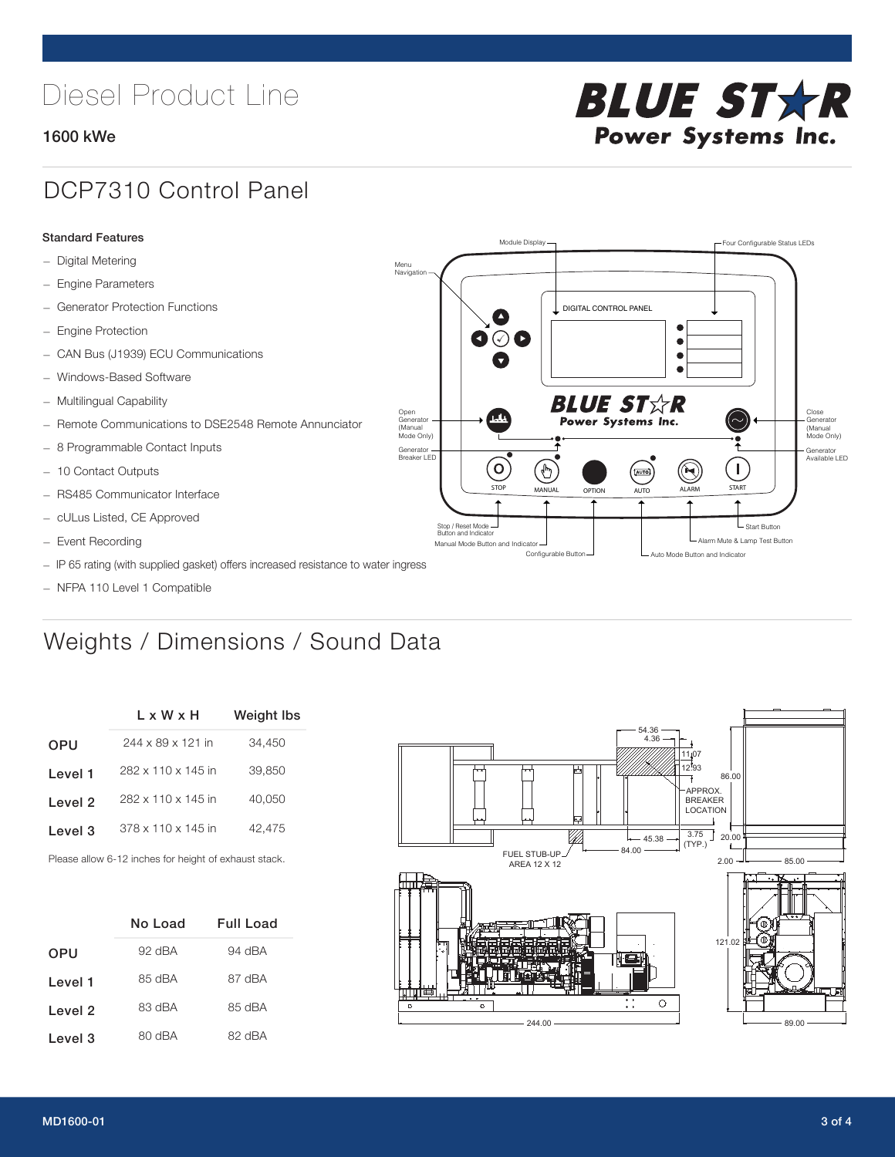# Diesel Product Line

### 1600 kWe



## DCP7310 Control Panel

#### Standard Features

- Digital Metering
- Engine Parameters
- Generator Protection Functions
- Engine Protection
- CAN Bus (J1939) ECU Communications
- Windows-Based Software
- Multilingual Capability
- Remote Communications to DSE2548 Remote Annunciator
- 8 Programmable Contact Inputs
- 10 Contact Outputs
- RS485 Communicator Interface
- cULus Listed, CE Approved
- Event Recording
- IP 65 rating (with supplied gasket) offers increased resistance to water ingress
- NFPA 110 Level 1 Compatible

# Weights / Dimensions / Sound Data

|            | L x W x H          | <b>Weight lbs</b> |
|------------|--------------------|-------------------|
| <b>OPU</b> | 244 x 89 x 121 in  | 34,450            |
| Level 1    | 282 x 110 x 145 in | 39,850            |
| Level 2    | 282 x 110 x 145 in | 40.050            |
| Level 3    | 378 x 110 x 145 in | 42.475            |
|            |                    |                   |

Please allow 6-12 inches for height of exhaust stack.

|            | No Load  | <b>Full Load</b> |
|------------|----------|------------------|
| <b>OPU</b> | $92$ dBA | 94 dBA           |
| Level 1    | 85 dBA   | 87 dBA           |
| Level 2    | 83 dBA   | 85 dBA           |
| Level 3    | 80 dBA   | 82 dBA           |



STOP MANUAL OPTION AUTO ALARM START

[AUTO]

**BLUE STAR** Power Systems Inc.

Manual Mode Button and Indicator Sultane Mute & Lamp Test Button Mute & Lamp Test Button Mute & Lamp Test Button Configurable Button -  $\Box$  Auto Mode Button and Indicator

DIGITAL CONTROL PANEL

Module Display  $\Box$ 

 $\bullet$  $\bullet$  $\bullet$ 

 $\circledcirc$ 

Menu Navigation

Open Generator (Manual Mode Only)

Generator Breaker LED

Stop / Reset Mode Button and Indicator

 $\bullet$  $\bullet$   $\circ$   $\bullet$ 

 $\sigma$ 

՟Պ

Close Generator (Manual Mode Only)

Generator Available LED

L Start Button

 $\blacksquare$